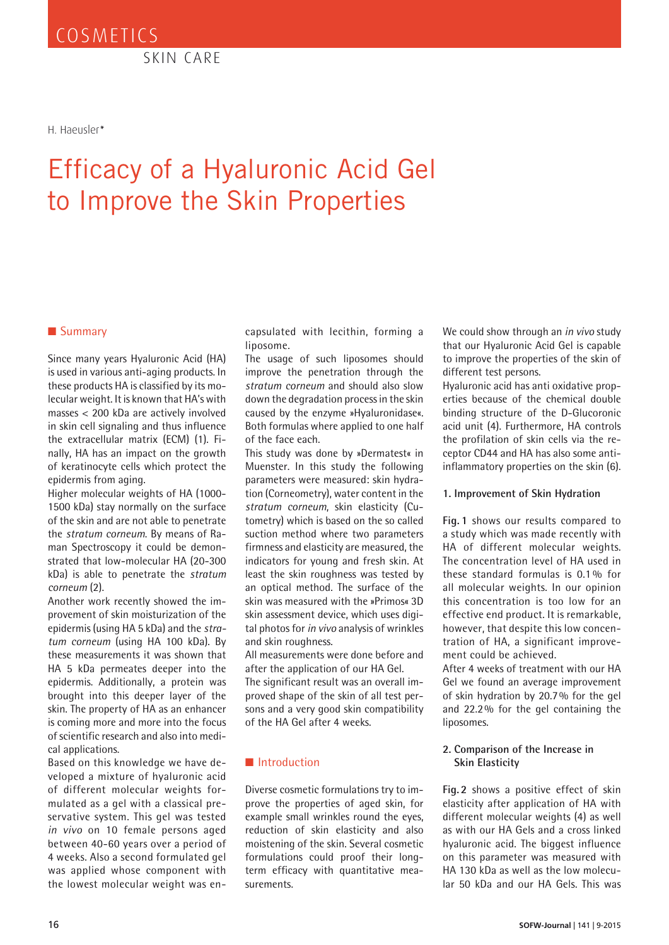SKIN CARE

H. Haeusler*\**

# Efficacy of a Hyaluronic Acid Gel to Improve the Skin Properties

### ■ Summary

Since many years Hyaluronic Acid (HA) is used in various anti-aging products. In these products HA is classified by its molecular weight. It is known that HA's with masses < 200 kDa are actively involved in skin cell signaling and thus influence the extracellular matrix (ECM) (1). Finally, HA has an impact on the growth of keratinocyte cells which protect the epidermis from aging.

Higher molecular weights of HA (1000- 1500 kDa) stay normally on the surface of the skin and are not able to penetrate the *stratum corneum*. By means of Raman Spectroscopy it could be demonstrated that low-molecular HA (20-300 kDa) is able to penetrate the *stratum corneum* (2).

Another work recently showed the improvement of skin moisturization of the epidermis (using HA 5 kDa) and the *stratum corneum* (using HA 100 kDa). By these measurements it was shown that HA 5 kDa permeates deeper into the epidermis. Additionally, a protein was brought into this deeper layer of the skin. The property of HA as an enhancer is coming more and more into the focus of scientific research and also into medical applications.

Based on this knowledge we have developed a mixture of hyaluronic acid of different molecular weights formulated as a gel with a classical preservative system. This gel was tested *in vivo* on 10 female persons aged between 40-60 years over a period of 4 weeks. Also a second formulated gel was applied whose component with the lowest molecular weight was encapsulated with lecithin, forming a liposome.

The usage of such liposomes should improve the penetration through the *stratum corneum* and should also slow down the degradation process in the skin caused by the enzyme »Hyaluronidase«. Both formulas where applied to one half of the face each.

This study was done by »Dermatest« in Muenster. In this study the following parameters were measured: skin hydration (Corneometry), water content in the *stratum corneum*, skin elasticity (Cutometry) which is based on the so called suction method where two parameters firmness and elasticity are measured, the indicators for young and fresh skin. At least the skin roughness was tested by an optical method. The surface of the skin was measured with the »Primos« 3D skin assessment device, which uses digital photos for *in vivo* analysis of wrinkles and skin roughness.

All measurements were done before and after the application of our HA Gel.

The significant result was an overall improved shape of the skin of all test persons and a very good skin compatibility of the HA Gel after 4 weeks.

### ■ Introduction

Diverse cosmetic formulations try to improve the properties of aged skin, for example small wrinkles round the eyes, reduction of skin elasticity and also moistening of the skin. Several cosmetic formulations could proof their longterm efficacy with quantitative measurements.

We could show through an *in vivo* study that our Hyaluronic Acid Gel is capable to improve the properties of the skin of different test persons.

Hyaluronic acid has anti oxidative properties because of the chemical double binding structure of the D-Glucoronic acid unit (4). Furthermore, HA controls the profilation of skin cells via the receptor CD44 and HA has also some antiinflammatory properties on the skin (6).

#### **1. Improvement of Skin Hydration**

**Fig. 1** shows our results compared to a study which was made recently with HA of different molecular weights. The concentration level of HA used in these standard formulas is 0.1 % for all molecular weights. In our opinion this concentration is too low for an effective end product. It is remarkable, however, that despite this low concentration of HA, a significant improvement could be achieved.

After 4 weeks of treatment with our HA Gel we found an average improvement of skin hydration by 20.7% for the gel and 22.2% for the gel containing the liposomes.

#### **2. Comparison of the Increase in Skin Elasticity**

**Fig. 2** shows a positive effect of skin elasticity after application of HA with different molecular weights (4) as well as with our HA Gels and a cross linked hyaluronic acid. The biggest influence on this parameter was measured with HA 130 kDa as well as the low molecular 50 kDa and our HA Gels. This was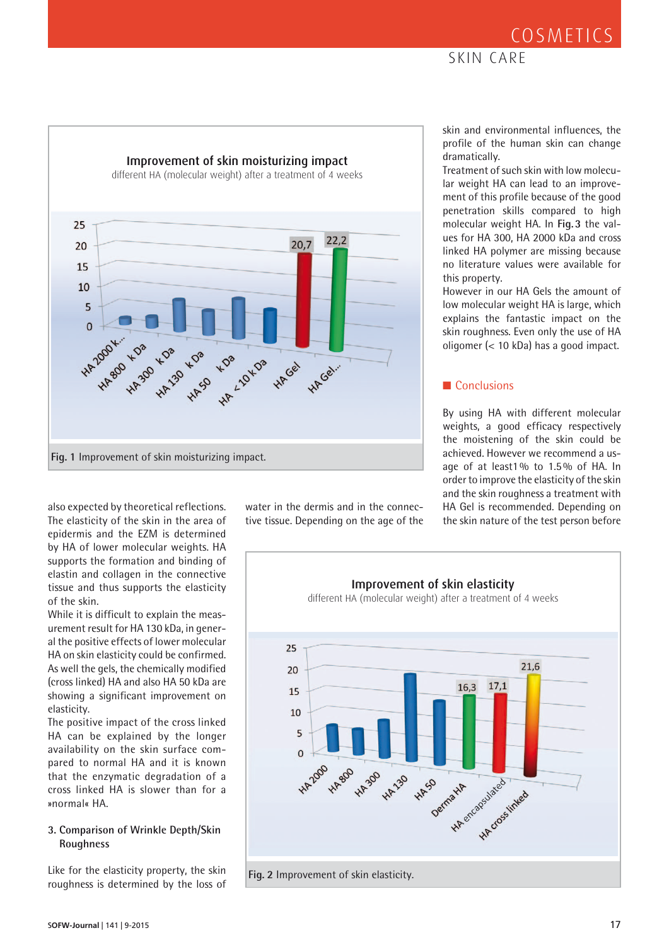## **COSMETICS**

### SKIN CARE



also expected by theoretical reflections. The elasticity of the skin in the area of epidermis and the EZM is determined by HA of lower molecular weights. HA supports the formation and binding of elastin and collagen in the connective tissue and thus supports the elasticity of the skin.

While it is difficult to explain the measurement result for HA 130 kDa, in general the positive effects of lower molecular HA on skin elasticity could be confirmed. As well the gels, the chemically modified (cross linked) HA and also HA 50 kDa are showing a significant improvement on elasticity.

The positive impact of the cross linked HA can be explained by the longer availability on the skin surface compared to normal HA and it is known that the enzymatic degradation of a cross linked HA is slower than for a »normal« HA.

### **3. Comparison of Wrinkle Depth/Skin Roughness**

Like for the elasticity property, the skin roughness is determined by the loss of water in the dermis and in the connective tissue. Depending on the age of the skin and environmental influences, the profile of the human skin can change dramatically.

Treatment of such skin with low molecular weight HA can lead to an improvement of this profile because of the good penetration skills compared to high molecular weight HA. In **Fig.3** the values for HA 300, HA 2000 kDa and cross linked HA polymer are missing because no literature values were available for this property.

However in our HA Gels the amount of low molecular weight HA is large, which explains the fantastic impact on the skin roughness. Even only the use of HA oligomer (< 10 kDa) has a good impact.

### ■ Conclusions

By using HA with different molecular weights, a good efficacy respectively the moistening of the skin could be achieved. However we recommend a usage of at least1% to 1.5% of HA. In order to improve the elasticity of the skin and the skin roughness a treatment with HA Gel is recommended. Depending on the skin nature of the test person before